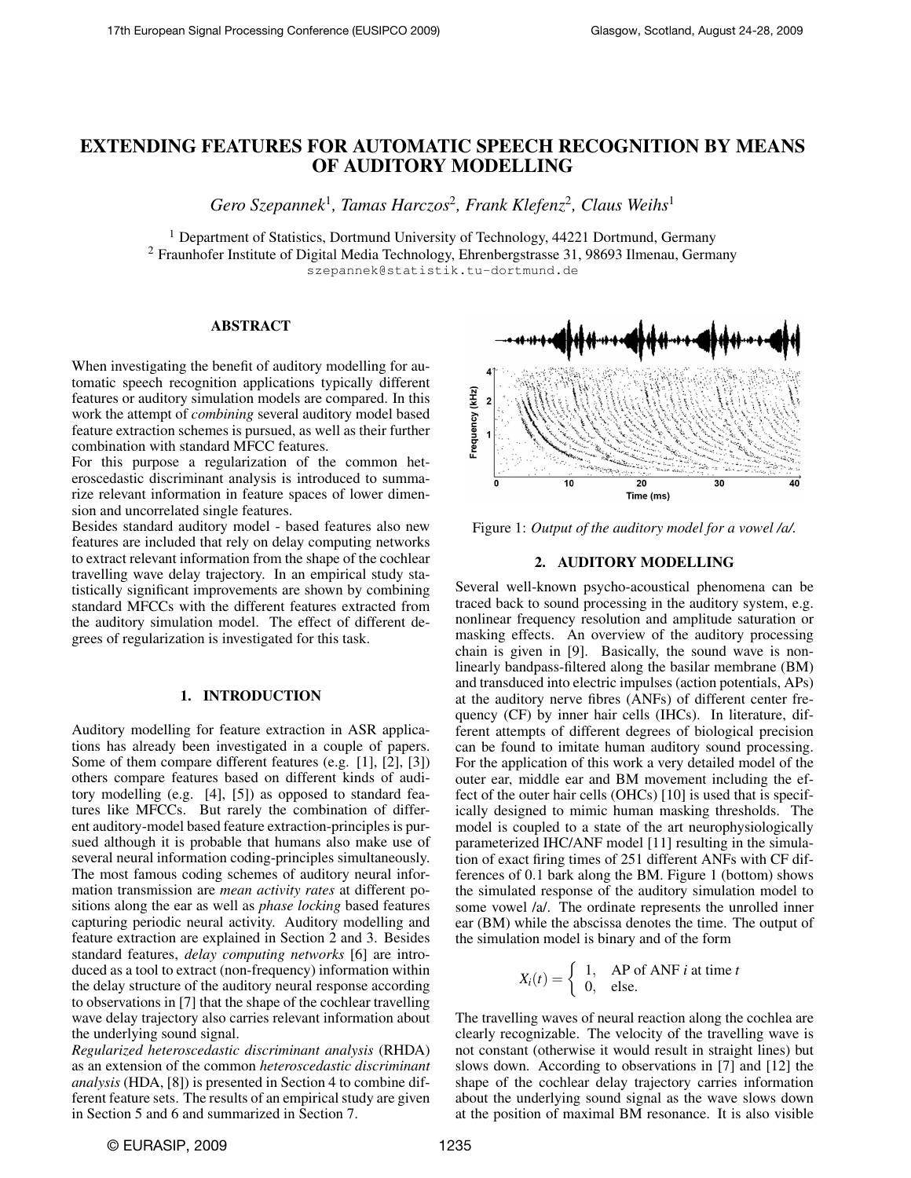# EXTENDING FEATURES FOR AUTOMATIC SPEECH RECOGNITION BY MEANS OF AUDITORY MODELLING

*Gero Szepannek*<sup>1</sup> *, Tamas Harczos*<sup>2</sup> *, Frank Klefenz*<sup>2</sup> *, Claus Weihs*<sup>1</sup>

<sup>1</sup> Department of Statistics, Dortmund University of Technology, 44221 Dortmund, Germany <sup>2</sup> Fraunhofer Institute of Digital Media Technology, Ehrenbergstrasse 31, 98693 Ilmenau, Germany szepannek@statistik.tu-dortmund.de

# ABSTRACT

When investigating the benefit of auditory modelling for automatic speech recognition applications typically different features or auditory simulation models are compared. In this work the attempt of *combining* several auditory model based feature extraction schemes is pursued, as well as their further combination with standard MFCC features.

For this purpose a regularization of the common heteroscedastic discriminant analysis is introduced to summarize relevant information in feature spaces of lower dimension and uncorrelated single features.

Besides standard auditory model - based features also new features are included that rely on delay computing networks to extract relevant information from the shape of the cochlear travelling wave delay trajectory. In an empirical study statistically significant improvements are shown by combining standard MFCCs with the different features extracted from the auditory simulation model. The effect of different degrees of regularization is investigated for this task.

# 1. INTRODUCTION

Auditory modelling for feature extraction in ASR applications has already been investigated in a couple of papers. Some of them compare different features (e.g. [1], [2], [3]) others compare features based on different kinds of auditory modelling (e.g. [4], [5]) as opposed to standard features like MFCCs. But rarely the combination of different auditory-model based feature extraction-principles is pursued although it is probable that humans also make use of several neural information coding-principles simultaneously. The most famous coding schemes of auditory neural information transmission are *mean activity rates* at different positions along the ear as well as *phase locking* based features capturing periodic neural activity. Auditory modelling and feature extraction are explained in Section 2 and 3. Besides standard features, *delay computing networks* [6] are introduced as a tool to extract (non-frequency) information within the delay structure of the auditory neural response according to observations in [7] that the shape of the cochlear travelling wave delay trajectory also carries relevant information about the underlying sound signal.

*Regularized heteroscedastic discriminant analysis* (RHDA) as an extension of the common *heteroscedastic discriminant analysis* (HDA, [8]) is presented in Section 4 to combine different feature sets. The results of an empirical study are given in Section 5 and 6 and summarized in Section 7.



Figure 1: *Output of the auditory model for a vowel /a/.*

#### 2. AUDITORY MODELLING

Several well-known psycho-acoustical phenomena can be traced back to sound processing in the auditory system, e.g. nonlinear frequency resolution and amplitude saturation or masking effects. An overview of the auditory processing chain is given in [9]. Basically, the sound wave is nonlinearly bandpass-filtered along the basilar membrane (BM) and transduced into electric impulses (action potentials, APs) at the auditory nerve fibres (ANFs) of different center frequency (CF) by inner hair cells (IHCs). In literature, different attempts of different degrees of biological precision can be found to imitate human auditory sound processing. For the application of this work a very detailed model of the outer ear, middle ear and BM movement including the effect of the outer hair cells (OHCs) [10] is used that is specifically designed to mimic human masking thresholds. The model is coupled to a state of the art neurophysiologically parameterized IHC/ANF model [11] resulting in the simulation of exact firing times of 251 different ANFs with CF differences of 0.1 bark along the BM. Figure 1 (bottom) shows the simulated response of the auditory simulation model to some vowel /a/. The ordinate represents the unrolled inner ear (BM) while the abscissa denotes the time. The output of the simulation model is binary and of the form

$$
X_i(t) = \begin{cases} 1, & \text{AP of ANF } i \text{ at time } t \\ 0, & \text{else.} \end{cases}
$$

The travelling waves of neural reaction along the cochlea are clearly recognizable. The velocity of the travelling wave is not constant (otherwise it would result in straight lines) but slows down. According to observations in [7] and [12] the shape of the cochlear delay trajectory carries information about the underlying sound signal as the wave slows down at the position of maximal BM resonance. It is also visible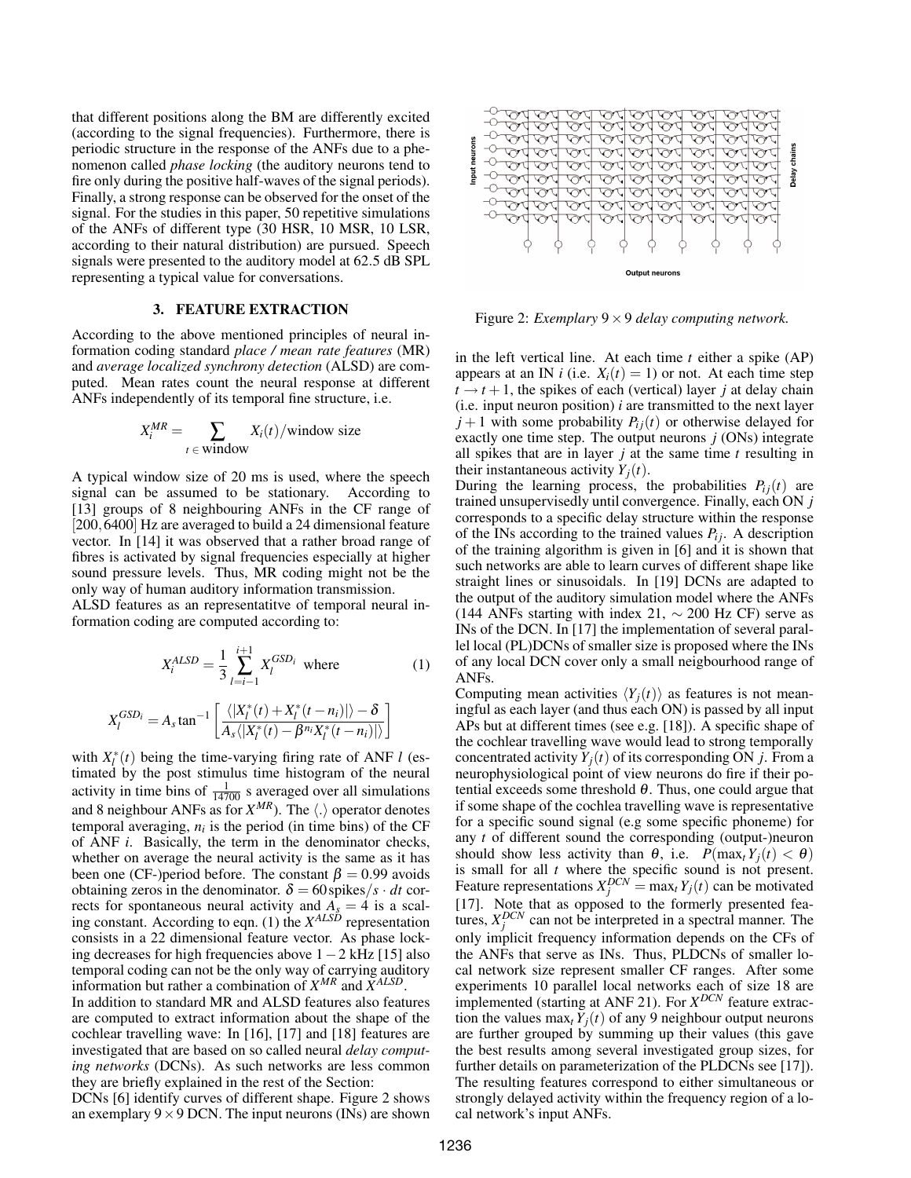that different positions along the BM are differently excited (according to the signal frequencies). Furthermore, there is periodic structure in the response of the ANFs due to a phenomenon called *phase locking* (the auditory neurons tend to fire only during the positive half-waves of the signal periods). Finally, a strong response can be observed for the onset of the signal. For the studies in this paper, 50 repetitive simulations of the ANFs of different type (30 HSR, 10 MSR, 10 LSR, according to their natural distribution) are pursued. Speech signals were presented to the auditory model at 62.5 dB SPL representing a typical value for conversations.

#### 3. FEATURE EXTRACTION

According to the above mentioned principles of neural information coding standard *place / mean rate features* (MR) and *average localized synchrony detection* (ALSD) are computed. Mean rates count the neural response at different ANFs independently of its temporal fine structure, i.e.

$$
X_i^{MR} = \sum_{t \in \text{window}} X_i(t) / \text{window size}
$$

A typical window size of 20 ms is used, where the speech signal can be assumed to be stationary. According to [13] groups of 8 neighbouring ANFs in the CF range of [200,6400] Hz are averaged to build a 24 dimensional feature vector. In [14] it was observed that a rather broad range of fibres is activated by signal frequencies especially at higher sound pressure levels. Thus, MR coding might not be the only way of human auditory information transmission.

ALSD features as an representatitve of temporal neural information coding are computed according to:

$$
X_i^{ALSD} = \frac{1}{3} \sum_{l=i-1}^{i+1} X_l^{GSD_i} \text{ where } (1)
$$

$$
X_l^{GSD_i} = A_s \tan^{-1} \left[ \frac{\langle |X_l^*(t) + X_l^*(t - n_i)| \rangle - \delta}{A_s \langle |X_l^*(t) - \beta^{n_i} X_l^*(t - n_i)| \rangle} \right]
$$

with  $X_l^*(t)$  being the time-varying firing rate of ANF *l* (estimated by the post stimulus time histogram of the neural activity in time bins of  $\frac{1}{14700}$  s averaged over all simulations and 8 neighbour ANFs as for  $X^{MR}$ ). The  $\langle . \rangle$  operator denotes temporal averaging,  $n_i$  is the period (in time bins) of the CF of ANF *i*. Basically, the term in the denominator checks, whether on average the neural activity is the same as it has been one (CF-)period before. The constant  $\beta = 0.99$  avoids obtaining zeros in the denominator.  $\delta = 60$  spikes/*s* · *dt* corrects for spontaneous neural activity and  $A_s = 4$  is a scaling constant. According to eqn. (1) the *X ALSD* representation consists in a 22 dimensional feature vector. As phase locking decreases for high frequencies above 1−2 kHz [15] also temporal coding can not be the only way of carrying auditory information but rather a combination of *X MR* and *X ALSD*.

In addition to standard MR and ALSD features also features are computed to extract information about the shape of the cochlear travelling wave: In [16], [17] and [18] features are investigated that are based on so called neural *delay computing networks* (DCNs). As such networks are less common they are briefly explained in the rest of the Section:

DCNs [6] identify curves of different shape. Figure 2 shows an exemplary  $9 \times 9$  DCN. The input neurons (INs) are shown



Figure 2: *Exemplary* 9×9 *delay computing network.*

in the left vertical line. At each time *t* either a spike (AP) appears at an IN *i* (i.e.  $X_i(t) = 1$ ) or not. At each time step  $t \rightarrow t + 1$ , the spikes of each (vertical) layer *j* at delay chain (i.e. input neuron position) *i* are transmitted to the next layer  $j+1$  with some probability  $P_{ij}(t)$  or otherwise delayed for exactly one time step. The output neurons *j* (ONs) integrate all spikes that are in layer *j* at the same time *t* resulting in their instantaneous activity  $Y_i(t)$ .

During the learning process, the probabilities  $P_{i j}(t)$  are trained unsupervisedly until convergence. Finally, each ON *j* corresponds to a specific delay structure within the response of the INs according to the trained values  $P_{ij}$ . A description of the training algorithm is given in [6] and it is shown that such networks are able to learn curves of different shape like straight lines or sinusoidals. In [19] DCNs are adapted to the output of the auditory simulation model where the ANFs (144 ANFs starting with index 21,  $\sim$  200 Hz CF) serve as INs of the DCN. In [17] the implementation of several parallel local (PL)DCNs of smaller size is proposed where the INs of any local DCN cover only a small neigbourhood range of ANFs.

Computing mean activities  $\langle Y_i(t) \rangle$  as features is not meaningful as each layer (and thus each ON) is passed by all input APs but at different times (see e.g. [18]). A specific shape of the cochlear travelling wave would lead to strong temporally concentrated activity  $Y_i(t)$  of its corresponding ON *j*. From a neurophysiological point of view neurons do fire if their potential exceeds some threshold  $\theta$ . Thus, one could argue that if some shape of the cochlea travelling wave is representative for a specific sound signal (e.g some specific phoneme) for any *t* of different sound the corresponding (output-)neuron should show less activity than  $\theta$ , i.e.  $P(\max_t Y_i(t) < \theta)$ is small for all *t* where the specific sound is not present. Feature representations  $X_j^{DCN}$  = max<sub>*t*</sub>  $Y_j(t)$  can be motivated [17]. Note that as opposed to the formerly presented features,  $X_j^{DCN}$  can not be interpreted in a spectral manner. The only implicit frequency information depends on the CFs of the ANFs that serve as INs. Thus, PLDCNs of smaller local network size represent smaller CF ranges. After some experiments 10 parallel local networks each of size 18 are implemented (starting at ANF 21). For *X DCN* feature extraction the values  $\max_t Y_i(t)$  of any 9 neighbour output neurons are further grouped by summing up their values (this gave the best results among several investigated group sizes, for further details on parameterization of the PLDCNs see [17]). The resulting features correspond to either simultaneous or strongly delayed activity within the frequency region of a local network's input ANFs.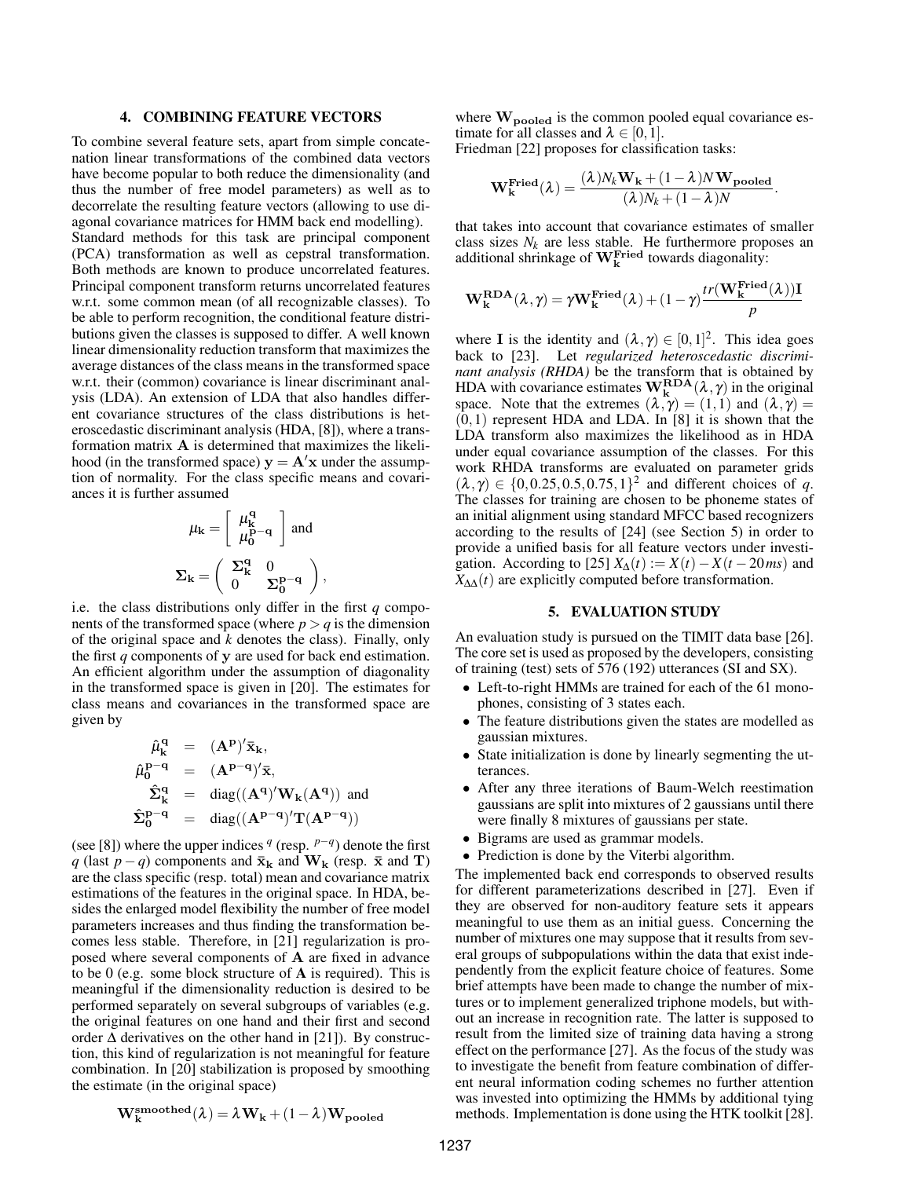#### 4. COMBINING FEATURE VECTORS

To combine several feature sets, apart from simple concatenation linear transformations of the combined data vectors have become popular to both reduce the dimensionality (and thus the number of free model parameters) as well as to decorrelate the resulting feature vectors (allowing to use diagonal covariance matrices for HMM back end modelling). Standard methods for this task are principal component (PCA) transformation as well as cepstral transformation. Both methods are known to produce uncorrelated features. Principal component transform returns uncorrelated features w.r.t. some common mean (of all recognizable classes). To be able to perform recognition, the conditional feature distributions given the classes is supposed to differ. A well known linear dimensionality reduction transform that maximizes the average distances of the class means in the transformed space w.r.t. their (common) covariance is linear discriminant analysis (LDA). An extension of LDA that also handles different covariance structures of the class distributions is heteroscedastic discriminant analysis (HDA, [8]), where a transformation matrix A is determined that maximizes the likelihood (in the transformed space)  $y = A'x$  under the assumption of normality. For the class specific means and covariances it is further assumed

$$
\mu_{\mathbf{k}} = \left[ \begin{array}{c} \mu_{\mathbf{k}}^{\mathbf{q}} \\ \mu_0^{\mathbf{p} - \mathbf{q}} \end{array} \right] \text{ and }
$$
  

$$
\Sigma_{\mathbf{k}} = \left( \begin{array}{cc} \Sigma_{\mathbf{k}}^{\mathbf{q}} & 0 \\ 0 & \Sigma_{0}^{\mathbf{p} - \mathbf{q}} \end{array} \right),
$$

i.e. the class distributions only differ in the first *q* components of the transformed space (where  $p > q$  is the dimension of the original space and *k* denotes the class). Finally, only the first *q* components of y are used for back end estimation. An efficient algorithm under the assumption of diagonality in the transformed space is given in [20]. The estimates for class means and covariances in the transformed space are given by

$$
\begin{array}{rcl} \hat{\mu}_{\mathbf{k}}^{q} & = & (\mathbf{A}^{\mathbf{p}})' \bar{\mathbf{x}}_{\mathbf{k}}, \\ \hat{\mu}_{\mathbf{0}}^{\mathbf{p}-\mathbf{q}} & = & (\mathbf{A}^{\mathbf{p}-\mathbf{q}})' \bar{\mathbf{x}}, \\ \hat{\boldsymbol{\Sigma}}_{\mathbf{k}}^{q} & = & \text{diag}((\mathbf{A}^{\mathbf{q}})' \mathbf{W}_{\mathbf{k}}(\mathbf{A}^{\mathbf{q}})) \text{ and} \\ \hat{\boldsymbol{\Sigma}}_{\mathbf{0}}^{\mathbf{p}-\mathbf{q}} & = & \text{diag}((\mathbf{A}^{\mathbf{p}-\mathbf{q}})' \mathbf{T}(\mathbf{A}^{\mathbf{p}-\mathbf{q}})) \end{array}
$$

(see [8]) where the upper indices  $q$  (resp.  $p-q$ ) denote the first *q* (last *p* − *q*) components and  $\bar{x}_k$  and W<sub>k</sub> (resp.  $\bar{x}$  and T) are the class specific (resp. total) mean and covariance matrix estimations of the features in the original space. In HDA, besides the enlarged model flexibility the number of free model parameters increases and thus finding the transformation becomes less stable. Therefore, in [21] regularization is proposed where several components of A are fixed in advance to be 0 (e.g. some block structure of  $A$  is required). This is meaningful if the dimensionality reduction is desired to be performed separately on several subgroups of variables (e.g. the original features on one hand and their first and second order  $\Delta$  derivatives on the other hand in [21]). By construction, this kind of regularization is not meaningful for feature combination. In [20] stabilization is proposed by smoothing the estimate (in the original space)

 $\mathbf{W_k^{smoothed}}(\lambda) = \lambda\mathbf{W_k} + (1-\lambda)\mathbf{W_{pooled}}$ 

where  $\mathbf{W_{pooled}}$  is the common pooled equal covariance estimate for all classes and  $\lambda \in [0,1]$ .

Friedman [22] proposes for classification tasks:

$$
\mathbf{W}_{\mathbf{k}}^{\mathbf{Fried}}(\lambda) = \frac{(\lambda)N_k\mathbf{W}_{\mathbf{k}} + (1-\lambda)N\mathbf{W}_{\mathbf{pooled}}}{(\lambda)N_k + (1-\lambda)N}
$$

.

that takes into account that covariance estimates of smaller class sizes  $N_k$  are less stable. He furthermore proposes an additional shrinkage of  $\mathbf{W}_k^{\text{Fried}}$  towards diagonality:

$$
\mathbf{W_k^{RDA}}(\lambda, \gamma) = \gamma \mathbf{W_k^{Fried}}(\lambda) + (1-\gamma) \frac{tr(\mathbf{W_k^{Fried}}(\lambda))\mathbf{I}}{p}
$$

where **I** is the identity and  $(\lambda, \gamma) \in [0, 1]^2$ . This idea goes back to [23]. Let *regularized heteroscedastic discriminant analysis (RHDA)* be the transform that is obtained by HDA with covariance estimates  $W_k^{RDA}(\lambda, \gamma)$  in the original space. Note that the extremes  $(\lambda, \gamma) = (1, 1)$  and  $(\lambda, \gamma) =$  $(0,1)$  represent HDA and LDA. In [8] it is shown that the LDA transform also maximizes the likelihood as in HDA under equal covariance assumption of the classes. For this work RHDA transforms are evaluated on parameter grids  $(\lambda, \gamma) \in \{0, 0.25, 0.5, 0.75, 1\}^2$  and different choices of q. The classes for training are chosen to be phoneme states of an initial alignment using standard MFCC based recognizers according to the results of [24] (see Section 5) in order to provide a unified basis for all feature vectors under investigation. According to [25]  $X_{\Delta}(t) := X(t) - X(t-20ms)$  and  $X_{\Delta\Delta}(t)$  are explicitly computed before transformation.

#### 5. EVALUATION STUDY

An evaluation study is pursued on the TIMIT data base [26]. The core set is used as proposed by the developers, consisting of training (test) sets of 576 (192) utterances (SI and SX).

- Left-to-right HMMs are trained for each of the 61 monophones, consisting of 3 states each.
- The feature distributions given the states are modelled as gaussian mixtures.
- State initialization is done by linearly segmenting the utterances.
- After any three iterations of Baum-Welch reestimation gaussians are split into mixtures of 2 gaussians until there were finally 8 mixtures of gaussians per state.
- Bigrams are used as grammar models.
- Prediction is done by the Viterbi algorithm.

The implemented back end corresponds to observed results for different parameterizations described in [27]. Even if they are observed for non-auditory feature sets it appears meaningful to use them as an initial guess. Concerning the number of mixtures one may suppose that it results from several groups of subpopulations within the data that exist independently from the explicit feature choice of features. Some brief attempts have been made to change the number of mixtures or to implement generalized triphone models, but without an increase in recognition rate. The latter is supposed to result from the limited size of training data having a strong effect on the performance [27]. As the focus of the study was to investigate the benefit from feature combination of different neural information coding schemes no further attention was invested into optimizing the HMMs by additional tying methods. Implementation is done using the HTK toolkit [28].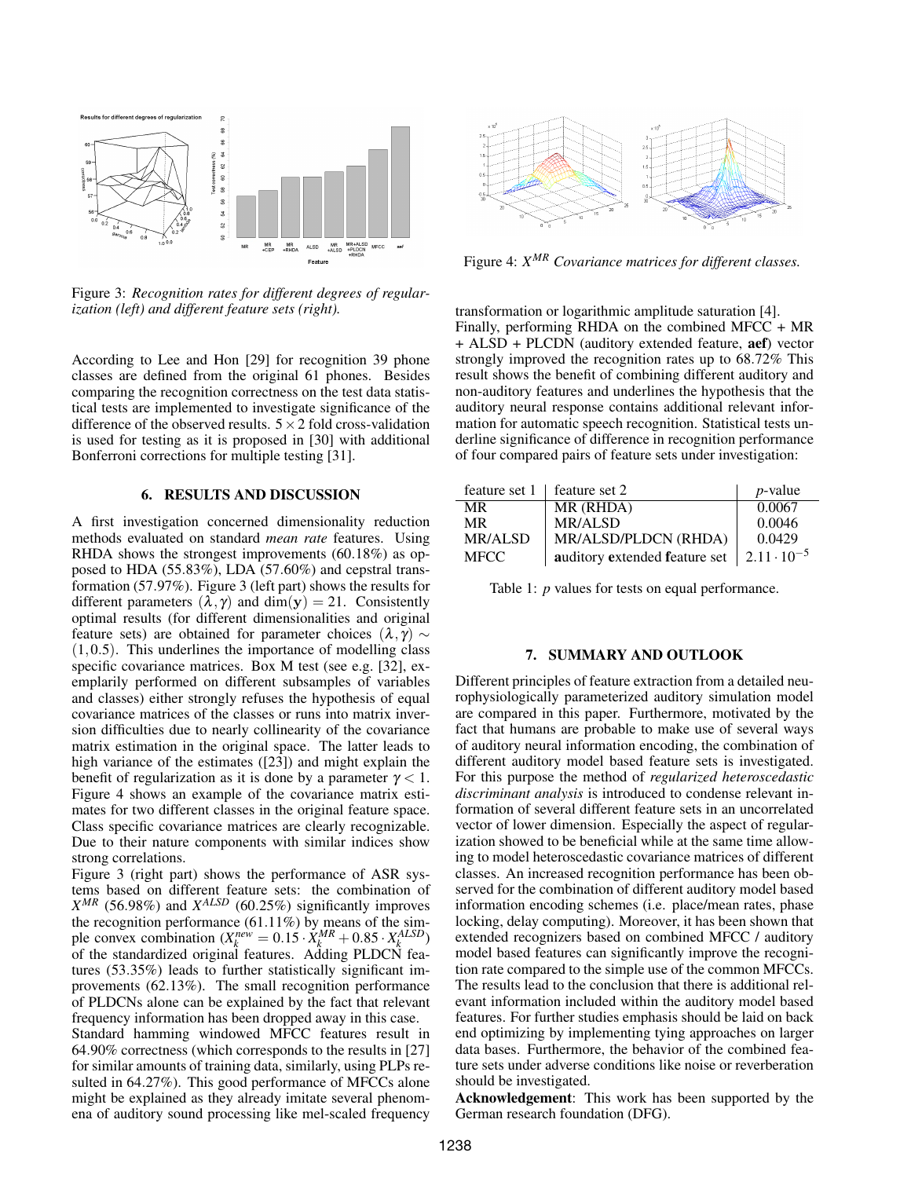

Figure 3: *Recognition rates for different degrees of regularization (left) and different feature sets (right).*

According to Lee and Hon [29] for recognition 39 phone classes are defined from the original 61 phones. Besides comparing the recognition correctness on the test data statistical tests are implemented to investigate significance of the difference of the observed results.  $5 \times 2$  fold cross-validation is used for testing as it is proposed in [30] with additional Bonferroni corrections for multiple testing [31].

## 6. RESULTS AND DISCUSSION

A first investigation concerned dimensionality reduction methods evaluated on standard *mean rate* features. Using RHDA shows the strongest improvements (60.18%) as opposed to HDA (55.83%), LDA (57.60%) and cepstral transformation (57.97%). Figure 3 (left part) shows the results for different parameters  $(\lambda, \gamma)$  and dim(y) = 21. Consistently optimal results (for different dimensionalities and original feature sets) are obtained for parameter choices  $(\lambda, \gamma) \sim$  $(1,0.5)$ . This underlines the importance of modelling class specific covariance matrices. Box M test (see e.g. [32], exemplarily performed on different subsamples of variables and classes) either strongly refuses the hypothesis of equal covariance matrices of the classes or runs into matrix inversion difficulties due to nearly collinearity of the covariance matrix estimation in the original space. The latter leads to high variance of the estimates ([23]) and might explain the benefit of regularization as it is done by a parameter  $\gamma$  < 1. Figure 4 shows an example of the covariance matrix estimates for two different classes in the original feature space. Class specific covariance matrices are clearly recognizable. Due to their nature components with similar indices show strong correlations.

Figure 3 (right part) shows the performance of ASR systems based on different feature sets: the combination of  $X^{MR}$  (56.98%) and  $X^{ALSD}$  (60.25%) significantly improves the recognition performance (61.11%) by means of the simple convex combination  $(X_k^{new} = 0.15 \cdot \overline{X_k^{MR}} + 0.85 \cdot \overline{X_k^{ALSD}})$ of the standardized original features. Adding PLDCN features (53.35%) leads to further statistically significant improvements (62.13%). The small recognition performance of PLDCNs alone can be explained by the fact that relevant frequency information has been dropped away in this case. Standard hamming windowed MFCC features result in 64.90% correctness (which corresponds to the results in [27] for similar amounts of training data, similarly, using PLPs re-

sulted in 64.27%). This good performance of MFCCs alone might be explained as they already imitate several phenomena of auditory sound processing like mel-scaled frequency



Figure 4: *X MR Covariance matrices for different classes.*

transformation or logarithmic amplitude saturation [4]. Finally, performing RHDA on the combined MFCC + MR + ALSD + PLCDN (auditory extended feature, aef) vector strongly improved the recognition rates up to 68.72% This result shows the benefit of combining different auditory and non-auditory features and underlines the hypothesis that the auditory neural response contains additional relevant information for automatic speech recognition. Statistical tests underline significance of difference in recognition performance of four compared pairs of feature sets under investigation:

| feature set $1 \mid$ feature set 2 |                               | <i>p</i> -value      |
|------------------------------------|-------------------------------|----------------------|
| <b>MR</b>                          | MR(RHDA)                      | 0.0067               |
| <b>MR</b>                          | MR/ALSD                       | 0.0046               |
| <b>MR/ALSD</b>                     | MR/ALSD/PLDCN (RHDA)          | 0.0429               |
| <b>MFCC</b>                        | auditory extended feature set | $2.11 \cdot 10^{-5}$ |

Table 1: *p* values for tests on equal performance.

### 7. SUMMARY AND OUTLOOK

Different principles of feature extraction from a detailed neurophysiologically parameterized auditory simulation model are compared in this paper. Furthermore, motivated by the fact that humans are probable to make use of several ways of auditory neural information encoding, the combination of different auditory model based feature sets is investigated. For this purpose the method of *regularized heteroscedastic discriminant analysis* is introduced to condense relevant information of several different feature sets in an uncorrelated vector of lower dimension. Especially the aspect of regularization showed to be beneficial while at the same time allowing to model heteroscedastic covariance matrices of different classes. An increased recognition performance has been observed for the combination of different auditory model based information encoding schemes (i.e. place/mean rates, phase locking, delay computing). Moreover, it has been shown that extended recognizers based on combined MFCC / auditory model based features can significantly improve the recognition rate compared to the simple use of the common MFCCs. The results lead to the conclusion that there is additional relevant information included within the auditory model based features. For further studies emphasis should be laid on back end optimizing by implementing tying approaches on larger data bases. Furthermore, the behavior of the combined feature sets under adverse conditions like noise or reverberation should be investigated.

Acknowledgement: This work has been supported by the German research foundation (DFG).